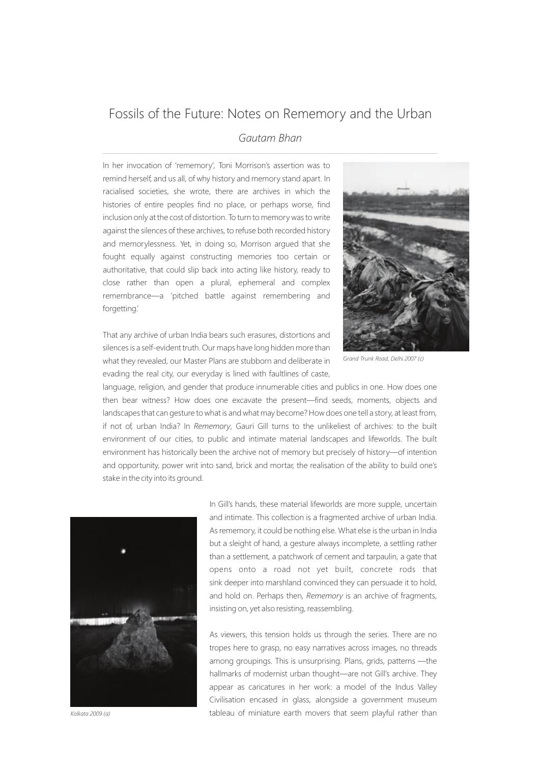## Fossils of the Future: Notes on Rememory and the Urban

## *Gautam Bhan*

In her invocation of 'rememory', Toni Morrison's assertion was to remind herself, and us all, of why history and memory stand apart. In racialised societies, she wrote, there are archives in which the histories of entire peoples find no place, or perhaps worse, find inclusion only at the cost of distortion. To turn to memory was to write against the silences of these archives, to refuse both recorded history and memorylessness. Yet, in doing so, Morrison argued that she fought equally against constructing memories too certain or authoritative, that could slip back into acting like history, ready to close rather than open a plural, ephemeral and complex remembrance—a 'pitched battle against remembering and forgetting.'

That any archive of urban India bears such erasures, distortions and silences is a self-evident truth. Our maps have long hidden more than what they revealed, our Master Plans are stubborn and deliberate in evading the real city, our everyday is lined with faultlines of caste,



*Grand Trunk Road, Delhi 2007 (c)*

language, religion, and gender that produce innumerable cities and publics in one. How does one then bear witness? How does one excavate the present—find seeds, moments, objects and landscapes that can gesture to what is and what may become? How does one tell a story, at least from, if not of, urban India? In *Rememory*, Gauri Gill turns to the unlikeliest of archives: to the built environment of our cities, to public and intimate material landscapes and lifeworlds. The built environment has historically been the archive not of memory but precisely of history—of intention and opportunity, power writ into sand, brick and mortar, the realisation of the ability to build one's stake in the city into its ground.



In Gill's hands, these material lifeworlds are more supple, uncertain and intimate. This collection is a fragmented archive of urban India. As rememory, it could be nothing else. What else is the urban in India but a sleight of hand, a gesture always incomplete, a settling rather than a settlement, a patchwork of cement and tarpaulin, a gate that opens onto a road not yet built, concrete rods that sink deeper into marshland convinced they can persuade it to hold, and hold on. Perhaps then, *Rememory* is an archive of fragments, insisting on, yet also resisting, reassembling.

As viewers, this tension holds us through the series. There are no tropes here to grasp, no easy narratives across images, no threads among groupings. This is unsurprising. Plans, grids, patterns —the hallmarks of modernist urban thought—are not Gill's archive. They appear as caricatures in her work: a model of the Indus Valley Civilisation encased in glass, alongside a government museum tableau of miniature earth movers that seem playful rather than

*Kolkata 2009 (a)*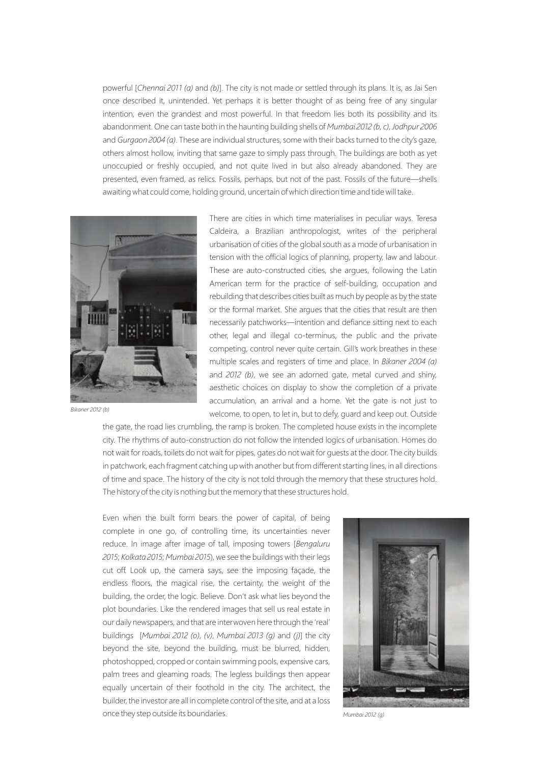powerful [*Chennai 2011 (a)* and *(b)*]. The city is not made or settled through its plans. It is, as Jai Sen once described it, unintended. Yet perhaps it is better thought of as being free of any singular intention, even the grandest and most powerful. In that freedom lies both its possibility and its abandonment. One can taste both in the haunting building shells of *Mumbai 2012 (b, c)*, *Jodhpur 2006* and *Gurgaon 2004 (a)*. These are individual structures, some with their backs turned to the city's gaze, others almost hollow, inviting that same gaze to simply pass through. The buildings are both as yet unoccupied or freshly occupied, and not quite lived in but also already abandoned. They are presented, even framed, as relics. Fossils, perhaps, but not of the past. Fossils of the future—shells awaiting what could come, holding ground, uncertain of which direction time and tide will take.



*Bikaner 2012 (b)*

There are cities in which time materialises in peculiar ways. Teresa Caldeira, a Brazilian anthropologist, writes of the peripheral urbanisation of cities of the global south as a mode of urbanisation in tension with the official logics of planning, property, law and labour. These are auto-constructed cities, she argues, following the Latin American term for the practice of self-building, occupation and rebuilding that describes cities built as much by people as by the state or the formal market. She argues that the cities that result are then necessarily patchworks—intention and defiance sitting next to each other, legal and illegal co-terminus, the public and the private competing, control never quite certain. Gill's work breathes in these multiple scales and registers of time and place. In *Bikaner 2004 (a)* and *2012 (b)*, we see an adorned gate, metal curved and shiny, aesthetic choices on display to show the completion of a private accumulation, an arrival and a home. Yet the gate is not just to welcome, to open, to let in, but to defy, guard and keep out. Outside

the gate, the road lies crumbling, the ramp is broken. The completed house exists in the incomplete city. The rhythms of auto-construction do not follow the intended logics of urbanisation. Homes do not wait for roads, toilets do not wait for pipes, gates do not wait for guests at the door. The city builds in patchwork, each fragment catching up with another but from different starting lines, in all directions of time and space. The history of the city is not told through the memory that these structures hold. The history of the city is nothing but the memory that these structures hold.

Even when the built form bears the power of capital, of being complete in one go, of controlling time, its uncertainties never reduce. In image after image of tall, imposing towers [*Bengaluru 2015*; *Kolkata 2015*; *Mumbai 2015*), we see the buildings with their legs cut off. Look up, the camera says, see the imposing façade, the endless floors, the magical rise, the certainty, the weight of the building, the order, the logic. Believe. Don't ask what lies beyond the plot boundaries. Like the rendered images that sell us real estate in our daily newspapers, and that are interwoven here through the 'real' buildings [*Mumbai 2012 (o)*, *(v)*, *Mumbai 2013 (g)* and *(j)*] the city beyond the site, beyond the building, must be blurred, hidden, photoshopped, cropped or contain swimming pools, expensive cars, palm trees and gleaming roads. The legless buildings then appear equally uncertain of their foothold in the city. The architect, the builder, the investor are all in complete control of the site, and at a loss once they step outside its boundaries.



*Mumbai 2012 (g)*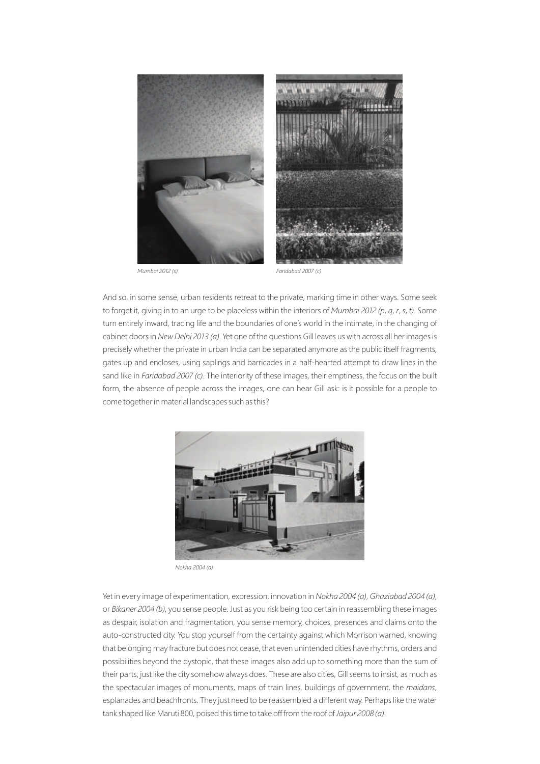

*Mumbai 2012 (s)*

*Faridabad 2007 (c)*

And so, in some sense, urban residents retreat to the private, marking time in other ways. Some seek to forget it, giving in to an urge to be placeless within the interiors of *Mumbai 2012 (p*, *q*, *r*, *s*, *t)*. Some turn entirely inward, tracing life and the boundaries of one's world in the intimate, in the changing of cabinet doors in *New Delhi 2013 (a)*. Yet one of the questions Gill leaves us with across all her images is precisely whether the private in urban India can be separated anymore as the public itself fragments, gates up and encloses, using saplings and barricades in a half-hearted attempt to draw lines in the sand like in *Faridabad 2007 (c)*. The interiority of these images, their emptiness, the focus on the built form, the absence of people across the images, one can hear Gill ask: is it possible for a people to come together in material landscapes such as this?



*Nokha 2004 (a)*

Yet in every image of experimentation, expression, innovation in *Nokha 2004 (a)*, *Ghaziabad 2004 (a)*, or *Bikaner 2004 (b)*, you sense people. Just as you risk being too certain in reassembling these images as despair, isolation and fragmentation, you sense memory, choices, presences and claims onto the auto-constructed city. You stop yourself from the certainty against which Morrison warned, knowing that belonging may fracture but does not cease, that even unintended cities have rhythms, orders and possibilities beyond the dystopic, that these images also add up to something more than the sum of their parts, just like the city somehow always does. These are also cities, Gill seems to insist, as much as the spectacular images of monuments, maps of train lines, buildings of government, the *maidans*, esplanades and beachfronts. They just need to be reassembled a different way. Perhaps like the water tank shaped like Maruti 800, poised this time to take off from the roof of *Jaipur 2008 (a)*.